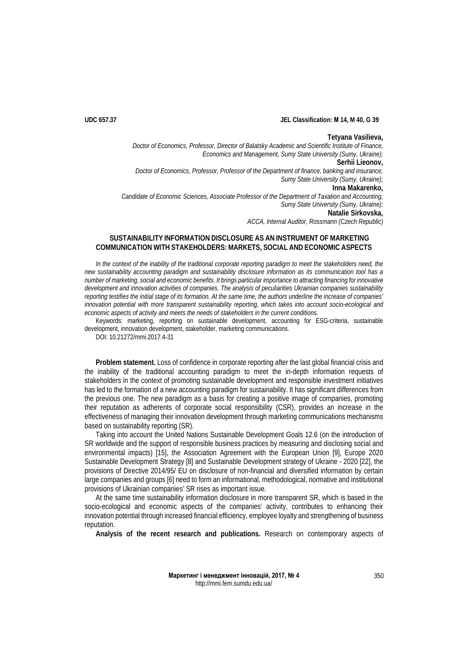## **UDC 657.37 JEL Classification: М 14, M 40, G 39**

### **Tetyana Vasilieva,**

*Doctor of Economics, Professor, Director of Balatsky Academic and Scientific Institute of Finance, Economics and Management, Sumy State University (Sumy, Ukraine);* **Serhii Lieonov,** *Doctor of Economics, Professor, Professor of the Department of finance, banking and insurance, Sumy State University (Sumy, Ukraine);* **Inna Makarenko,** *Candidate of Economic Sciences, Associate Professor of the Department of Taxation and Accounting, Sumy State University (Sumy, Ukraine);* **Natalie Sirkovska,**

*ACCA, Internal Auditor, Rossmann (Czech Republic)*

# **SUSTAINABILITY INFORMATION DISCLOSURE AS AN INSTRUMENT OF MARKETING COMMUNICATION WITH STAKEHOLDERS: MARKETS, SOCIAL AND ECONOMIC ASPECTS**

In the context of the inability of the traditional corporate reporting paradigm to meet the stakeholders need, the *new sustainability accounting paradigm and sustainability disclosure information as its communication tool has a number of marketing, social and economic benefits. It brings particular importance to attracting financing for innovative development and innovation activities of companies. The analysis of peculiarities Ukrainian companies sustainability reporting testifies the initial stage of its formation. At the same time, the authors underline the increase of companies' innovation potential with more transparent sustainability reporting, which takes into account socio-ecological and economic aspects of activity and meets the needs of stakeholders in the current conditions.*

Keywords: marketing, reporting on sustainable development, accounting for ESG-criteria, sustainable development, innovation development, stakeholder, marketing communications.

DOI: 10.21272/mmi.2017.4-31

**Problem statement.** Loss of confidence in corporate reporting after the last global financial crisis and the inability of the traditional accounting paradigm to meet the in-depth information requests of stakeholders in the context of promoting sustainable development and responsible investment initiatives has led to the formation of a new accounting paradigm for sustainability. It has significant differences from the previous one. The new paradigm as a basis for creating a positive image of companies, promoting their reputation as adherents of corporate social responsibility (CSR), provides an increase in the effectiveness of managing their innovation development through marketing communications mechanisms based on sustainability reporting (SR).

Taking into account the United Nations Sustainable Development Goals 12.6 (on the introduction of SR worldwide and the support of responsible business practices by measuring and disclosing social and environmental impacts) [15], the Association Agreement with the European Union [9], Europe 2020 Sustainable Development Strategy [8] and Sustainable Development strategy of Ukraine - 2020 [22], the provisions of Directive 2014/95/ EU on disclosure of non-financial and diversified information by certain large companies and groups [6] need to form an informational, methodological, normative and institutional provisions of Ukrainian companies' SR rises as important issue.

At the same time sustainability information disclosure in more transparent SR, which is based in the socio-ecological and economic aspects of the companies' activity, contributes to enhancing their innovation potential through increased financial efficiency, employee loyalty and strengthening of business reputation.

**Analysis of the recent research and publications.** Research on contemporary aspects of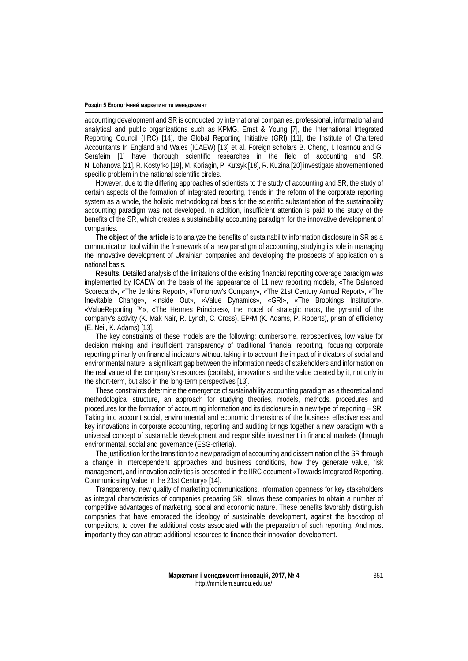accounting development and SR is conducted by international companies, professional, informational and analytical and public organizations such as KPMG, Ernst & Young [7], the International Integrated Reporting Council (IIRC) [14], the Global Reporting Initiative (GRI) [11], the Institute of Chartered Accountants In England and Wales (ICAEW) [13] et al. Foreign scholars B. Cheng, I. Ioannou and G. Serafeim [1] have thorough scientific researches in the field of accounting and SR. N. Lohanova [21], R. Kostyrko [19], M. Koriagin, P. Kutsyk [18], R. Kuzina [20] investigate abovementioned specific problem in the national scientific circles.

However, due to the differing approaches of scientists to the study of accounting and SR, the study of certain aspects of the formation of integrated reporting, trends in the reform of the corporate reporting system as a whole, the holistic methodological basis for the scientific substantiation of the sustainability accounting paradigm was not developed. In addition, insufficient attention is paid to the study of the benefits of the SR, which creates a sustainability accounting paradigm for the innovative development of companies.

**The object of the article** is to analyze the benefits of sustainability information disclosure in SR as a communication tool within the framework of a new paradigm of accounting, studying its role in managing the innovative development of Ukrainian companies and developing the prospects of application on a national basis.

**Results.** Detailed analysis of the limitations of the existing financial reporting coverage paradigm was implemented by ICAEW on the basis of the appearance of 11 new reporting models, «The Balanced Scorecard», «The Jenkins Report», «Tomorrow's Company», «The 21st Century Annual Report», «The Inevitable Change», «Inside Out», «Value Dynamics», «GRI», «The Brookings Institution», «ValueReporting ™», «The Hermes Principles», the model of strategic maps, the pyramid of the company's activity (K. Mak Nair, R. Lynch, C. Cross), EP²M (K. Adams, P. Roberts), prism of efficiency (E. Neil, K. Adams) [13].

The key constraints of these models are the following: cumbersome, retrospectives, low value for decision making and insufficient transparency of traditional financial reporting, focusing corporate reporting primarily on financial indicators without taking into account the impact of indicators of social and environmental nature, a significant gap between the information needs of stakeholders and information on the real value of the company's resources (capitals), innovations and the value created by it, not only in the short-term, but also in the long-term perspectives [13].

These constraints determine the emergence of sustainability accounting paradigm as a theoretical and methodological structure, an approach for studying theories, models, methods, procedures and procedures for the formation of accounting information and its disclosure in a new type of reporting – SR. Taking into account social, environmental and economic dimensions of the business effectiveness and key innovations in corporate accounting, reporting and auditing brings together a new paradigm with a universal concept of sustainable development and responsible investment in financial markets (through environmental, social and governance (ESG-criteria).

The justification for the transition to a new paradigm of accounting and dissemination of the SR through a change in interdependent approaches and business conditions, how they generate value, risk management, and innovation activities is presented in the IIRC document «Towards Integrated Reporting. Communicating Value in the 21st Century» [14].

Transparency, new quality of marketing communications, information openness for key stakeholders as integral characteristics of companies preparing SR, allows these companies to obtain a number of competitive advantages of marketing, social and economic nature. These benefits favorably distinguish companies that have embraced the ideology of sustainable development, against the backdrop of competitors, to cover the additional costs associated with the preparation of such reporting. And most importantly they can attract additional resources to finance their innovation development.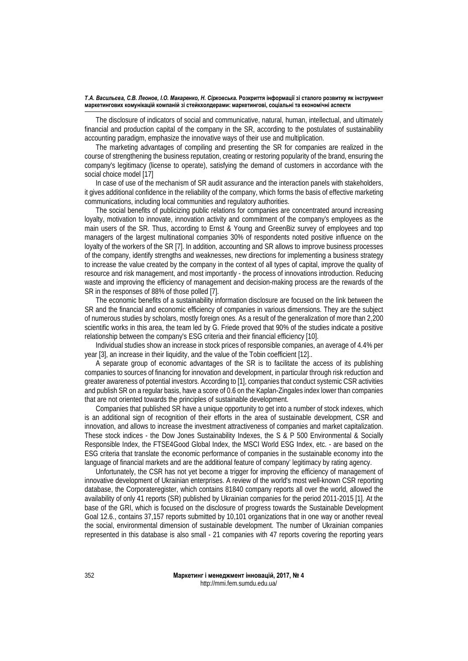#### *T.A. Васильєва, С.В. Леонов, І.О. Макаренко, Н. Сірковська.* **Розкриття інформації зі сталого розвитку як інструмент маркетингових комунікацій компаній зі стейкхолдерами: маркетингові, соціальні та економічні аспекти**

The disclosure of indicators of social and communicative, natural, human, intellectual, and ultimately financial and production capital of the company in the SR, according to the postulates of sustainability accounting paradigm, emphasize the innovative ways of their use and multiplication.

The marketing advantages of compiling and presenting the SR for companies are realized in the course of strengthening the business reputation, creating or restoring popularity of the brand, ensuring the company's legitimacy (license to operate), satisfying the demand of customers in accordance with the social choice model [17]

In case of use of the mechanism of SR audit assurance and the interaction panels with stakeholders, it gives additional confidence in the reliability of the company, which forms the basis of effective marketing communications, including local communities and regulatory authorities.

The social benefits of publicizing public relations for companies are concentrated around increasing loyalty, motivation to innovate, innovation activity and commitment of the company's employees as the main users of the SR. Thus, according to Ernst & Young and GreenBiz survey of employees and top managers of the largest multinational companies 30% of respondents noted positive influence on the loyalty of the workers of the SR [7]. In addition, accounting and SR allows to improve business processes of the company, identify strengths and weaknesses, new directions for implementing a business strategy to increase the value created by the company in the context of all types of capital, improve the quality of resource and risk management, and most importantly - the process of innovations introduction. Reducing waste and improving the efficiency of management and decision-making process are the rewards of the SR in the responses of 88% of those polled [7].

The economic benefits of a sustainability information disclosure are focused on the link between the SR and the financial and economic efficiency of companies in various dimensions. They are the subject of numerous studies by scholars, mostly foreign ones. As a result of the generalization of more than 2,200 scientific works in this area, the team led by G. Friede proved that 90% of the studies indicate a positive relationship between the company's ESG criteria and their financial efficiency [10].

Individual studies show an increase in stock prices of responsible companies, an average of 4.4% per year [3], an increase in their liquidity, and the value of the Tobin coefficient [12]..

A separate group of economic advantages of the SR is to facilitate the access of its publishing companies to sources of financing for innovation and development, in particular through risk reduction and greater awareness of potential investors. According to [1], companies that conduct systemic CSR activities and publish SR on a regular basis, have a score of 0.6 on the Kaplan-Zingales index lower than companies that are not oriented towards the principles of sustainable development.

Companies that published SR have a unique opportunity to get into a number of stock indexes, which is an additional sign of recognition of their efforts in the area of sustainable development, CSR and innovation, and allows to increase the investment attractiveness of companies and market capitalization. These stock indices - the Dow Jones Sustainability Indexes, the S & P 500 Environmental & Socially Responsible Index, the FTSE4Good Global Index, the MSCI World ESG Index, etc. - are based on the ESG criteria that translate the economic performance of companies in the sustainable economy into the language of financial markets and are the additional feature of company' legitimacy by rating agency.

Unfortunately, the CSR has not yet become a trigger for improving the efficiency of management of innovative development of Ukrainian enterprises. A review of the world's most well-known CSR reporting database, the Corporateregister, which contains 81840 company reports all over the world, allowed the availability of only 41 reports (SR) published by Ukrainian companies for the period 2011-2015 [1]. At the base of the GRI, which is focused on the disclosure of progress towards the Sustainable Development Goal 12.6., contains 37,157 reports submitted by 10,101 organizations that in one way or another reveal the social, environmental dimension of sustainable development. The number of Ukrainian companies represented in this database is also small - 21 companies with 47 reports covering the reporting years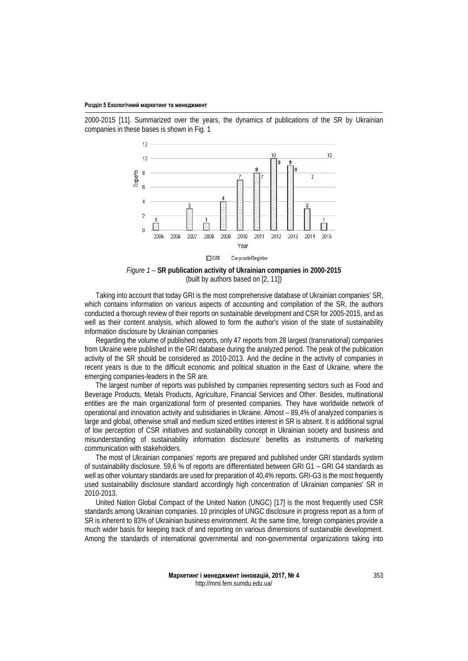2000-2015 [11]. Summarized over the years, the dynamics of publications of the SR by Ukrainian companies in these bases is shown in Fig. 1



*Figure 1* – **SR publication activity of Ukrainian companies in 2000-2015** (built by authors based on [2, 11])

Taking into account that today GRI is the most comprehensive database of Ukrainian companies' SR, which contains information on various aspects of accounting and compilation of the SR, the authors conducted a thorough review of their reports on sustainable development and CSR for 2005-2015, and as well as their content analysis, which allowed to form the author's vision of the state of sustainability information disclosure by Ukrainian companies

Regarding the volume of published reports, only 47 reports from 28 largest (transnational) companies from Ukraine were published in the GRI database during the analyzed period. The peak of the publication activity of the SR should be considered as 2010-2013. And the decline in the activity of companies in recent years is due to the difficult economic and political situation in the East of Ukraine, where the emerging companies-leaders in the SR are.

The largest number of reports was published by companies representing sectors such as Food and Beverage Products, Metals Products, Agriculture, Financial Services and Other. Besides, multinational entities are the main organizational form of presented companies. They have worldwide network of operational and innovation activity and subsidiaries in Ukraine. Almost – 89,4% of analyzed companies is large and global, otherwise small and medium sized entities interest in SR is absent. It is additional signal of low perception of CSR initiatives and sustainability concept in Ukrainian society and business and misunderstanding of sustainability information disclosure' benefits as instruments of marketing communication with stakeholders.

The most of Ukrainian companies' reports are prepared and published under GRI standards system of sustainability disclosure. 59,6 % of reports are differentiated between GRI G1 – GRI G4 standards as well as other voluntary standards are used for preparation of 40,4% reports. GRI-G3 is the most frequently used sustainability disclosure standard accordingly high concentration of Ukrainian companies' SR in 2010-2013.

United Nation Global Compact of the United Nation (UNGC) [17] is the most frequently used CSR standards among Ukrainian companies. 10 principles of UNGC disclosure in progress report as a form of SR is inherent to 83% of Ukrainian business environment. At the same time, foreign companies provide a much wider basis for keeping track of and reporting on various dimensions of sustainable development. Among the standards of international governmental and non-governmental organizations taking into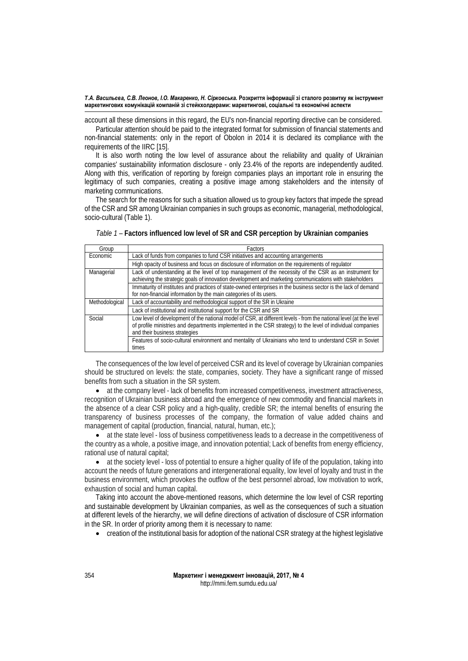#### *T.A. Васильєва, С.В. Леонов, І.О. Макаренко, Н. Сірковська.* **Розкриття інформації зі сталого розвитку як інструмент маркетингових комунікацій компаній зі стейкхолдерами: маркетингові, соціальні та економічні аспекти**

account all these dimensions in this regard, the EU's non-financial reporting directive can be considered.

Particular attention should be paid to the integrated format for submission of financial statements and non-financial statements: only in the report of Obolon in 2014 it is declared its compliance with the requirements of the IIRC [15].

It is also worth noting the low level of assurance about the reliability and quality of Ukrainian companies' sustainability information disclosure - only 23.4% of the reports are independently audited. Along with this, verification of reporting by foreign companies plays an important role in ensuring the legitimacy of such companies, creating a positive image among stakeholders and the intensity of marketing communications.

The search for the reasons for such a situation allowed us to group key factors that impede the spread of the CSR and SR among Ukrainian companies in such groups as economic, managerial, methodological, socio-cultural (Table 1).

| Group          | <b>Factors</b>                                                                                                                                                                                                                                                     |
|----------------|--------------------------------------------------------------------------------------------------------------------------------------------------------------------------------------------------------------------------------------------------------------------|
| Economic       | Lack of funds from companies to fund CSR initiatives and accounting arrangements                                                                                                                                                                                   |
|                | High opacity of business and focus on disclosure of information on the requirements of requlator                                                                                                                                                                   |
| Managerial     | Lack of understanding at the level of top management of the necessity of the CSR as an instrument for<br>achieving the strategic goals of innovation development and marketing communications with stakeholders                                                    |
|                | Immaturity of institutes and practices of state-owned enterprises in the business sector is the lack of demand<br>for non-financial information by the main categories of its users.                                                                               |
| Methodological | Lack of accountability and methodological support of the SR in Ukraine                                                                                                                                                                                             |
|                | Lack of institutional and institutional support for the CSR and SR                                                                                                                                                                                                 |
| Social         | Low level of development of the national model of CSR, at different levels - from the national level (at the level<br>of profile ministries and departments implemented in the CSR strategy) to the level of individual companies<br>and their business strategies |
|                | Features of socio-cultural environment and mentality of Ukrainians who tend to understand CSR in Soviet<br>times                                                                                                                                                   |

*Тable 1 –* **Factors influenced low level of SR and CSR perception by Ukrainian companies**

The consequences of the low level of perceived CSR and its level of coverage by Ukrainian companies should be structured on levels: the state, companies, society. They have a significant range of missed benefits from such a situation in the SR system.

• at the company level - lack of benefits from increased competitiveness, investment attractiveness, recognition of Ukrainian business abroad and the emergence of new commodity and financial markets in the absence of a clear CSR policy and a high-quality, credible SR; the internal benefits of ensuring the transparency of business processes of the company, the formation of value added chains and management of capital (production, financial, natural, human, etc.);

• at the state level - loss of business competitiveness leads to a decrease in the competitiveness of the country as a whole, a positive image, and innovation potential; Lack of benefits from energy efficiency, rational use of natural capital;

• at the society level - loss of potential to ensure a higher quality of life of the population, taking into account the needs of future generations and intergenerational equality, low level of loyalty and trust in the business environment, which provokes the outflow of the best personnel abroad, low motivation to work, exhaustion of social and human capital.

Taking into account the above-mentioned reasons, which determine the low level of CSR reporting and sustainable development by Ukrainian companies, as well as the consequences of such a situation at different levels of the hierarchy, we will define directions of activation of disclosure of CSR information in the SR. In order of priority among them it is necessary to name:

• creation of the institutional basis for adoption of the national CSR strategy at the highest legislative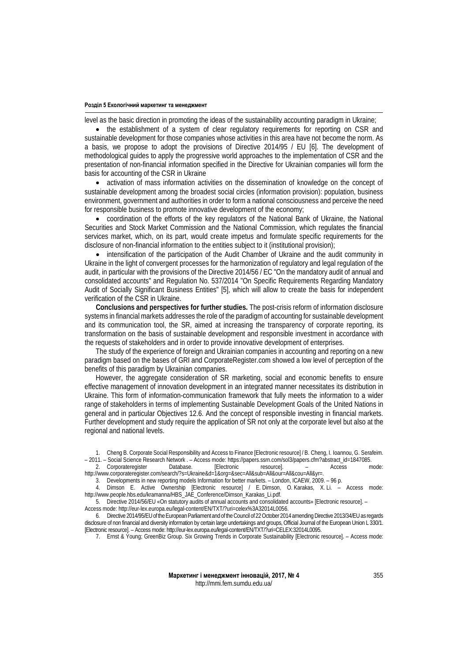level as the basic direction in promoting the ideas of the sustainability accounting paradigm in Ukraine;

• the establishment of a system of clear regulatory requirements for reporting on CSR and sustainable development for those companies whose activities in this area have not become the norm. As a basis, we propose to adopt the provisions of Directive 2014/95 / EU [6]. The development of methodological guides to apply the progressive world approaches to the implementation of CSR and the presentation of non-financial information specified in the Directive for Ukrainian companies will form the basis for accounting of the CSR in Ukraine

• activation of mass information activities on the dissemination of knowledge on the concept of sustainable development among the broadest social circles (information provision): population, business environment, government and authorities in order to form a national consciousness and perceive the need for responsible business to promote innovative development of the economy;

• coordination of the efforts of the key regulators of the National Bank of Ukraine, the National Securities and Stock Market Commission and the National Commission, which regulates the financial services market, which, on its part, would create impetus and formulate specific requirements for the disclosure of non-financial information to the entities subject to it (institutional provision);

• intensification of the participation of the Audit Chamber of Ukraine and the audit community in Ukraine in the light of convergent processes for the harmonization of regulatory and legal regulation of the audit, in particular with the provisions of the Directive 2014/56 / EC "On the mandatory audit of annual and consolidated accounts" and Regulation No. 537/2014 "On Specific Requirements Regarding Mandatory Audit of Socially Significant Business Entities" [5], which will allow to create the basis for independent verification of the CSR in Ukraine.

**Conclusions and perspectives for further studies.** The post-crisis reform of information disclosure systems in financial markets addresses the role of the paradigm of accounting for sustainable development and its communication tool, the SR, aimed at increasing the transparency of corporate reporting, its transformation on the basis of sustainable development and responsible investment in accordance with the requests of stakeholders and in order to provide innovative development of enterprises.

The study of the experience of foreign and Ukrainian companies in accounting and reporting on a new paradigm based on the bases of GRI and CorporateRegister.com showed a low level of perception of the benefits of this paradigm by Ukrainian companies.

However, the aggregate consideration of SR marketing, social and economic benefits to ensure effective management of innovation development in an integrated manner necessitates its distribution in Ukraine. This form of information-communication framework that fully meets the information to a wider range of stakeholders in terms of implementing Sustainable Development Goals of the United Nations in general and in particular Objectives 12.6. And the concept of responsible investing in financial markets. Further development and study require the application of SR not only at the corporate level but also at the regional and national levels.

1. Cheng B. Corporate Social Responsibility and Access to Finance [Electronic resource] / B. Cheng, I. Ioannou, G. Serafeim. – 2011. – Social Science Research Network . – Access mode: https://papers.ssrn.com/sol3/papers.cfm?abstract\_id=1847085.

3. Developments in new reporting models Information for better markets. – London, ICAEW, 2009. – 96 p.

4. Dimson E. Active Ownership [Electronic resource] / E. Dimson, O. Karakas, X. Li. – Access mode: http://www.people.hbs.edu/kramanna/HBS\_JAE\_Conference/Dimson\_Karakas\_Li.pdf.

5. Directive 2014/56/EU «On statutory audits of annual accounts and consolidated accounts» [Electronic resource]. – Access mode[: http://eur-lex.europa.eu/legal-content/EN/TXT/?uri=celex%3A32014L0056.](http://eur-lex.europa.eu/legal-content/EN/TXT/?uri=celex%3A32014L0056)

6. Directive 2014/95/EU of the European Parliament and of the Council of 22 October 2014 amending Directive 2013/34/EU as regards disclosure of non financial and diversity information by certain large undertakings and groups, Official Journal of the European Union L 330/1. [Electronic resource]. – Access mode: http://eur-lex.europa.eu/legal-content/EN/TXT/?uri=CELEX:32014L0095.

7. Ernst & Young; GreenBiz Group. Six Growing Trends in Corporate Sustainability [Electronic resource]. – Access mode:

<sup>2.</sup> Corporateregister Database. [Electronic resource]. – Access mode: [http://www.corporateregister.com/search/?s=Ukraine&d=1&org=&sec=All&sub=All&our=All&cou=All&yr=](http://www.corporateregister.com/search/?s=Ukraine&d=1&org=&sec=All&sub=All&our=All&cou=All&yr).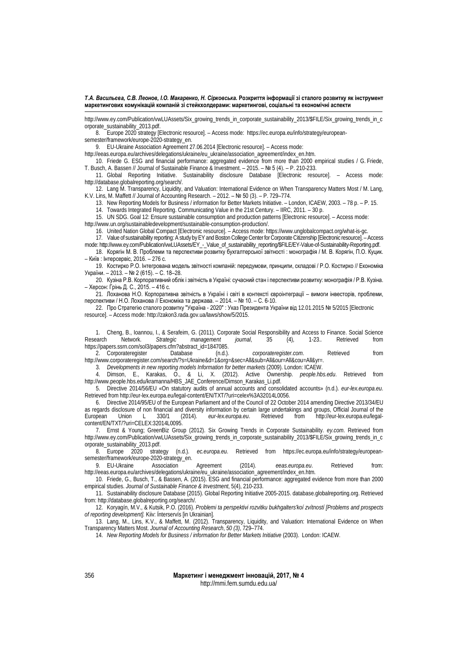*T.A. Васильєва, С.В. Леонов, І.О. Макаренко, Н. Сірковська.* **Розкриття інформації зі сталого розвитку як інструмент маркетингових комунікацій компаній зі стейкхолдерами: маркетингові, соціальні та економічні аспекти**

http://www.ey.com/Publication/vwLUAssets/Six\_growing\_trends\_in\_corporate\_sustainability\_2013/\$FILE/Six\_growing\_trends\_in\_c orporate\_sustainability\_2013.pdf.

8. Europe 2020 strategy [Electronic resource]. - Access mode: [https://ec.europa.eu/info/strategy/european](https://ec.europa.eu/info/strategy/european-semester/framework/europe-2020-strategy_en)[semester/framework/europe-2020-strategy\\_en.](https://ec.europa.eu/info/strategy/european-semester/framework/europe-2020-strategy_en)

9. EU-Ukraine Association Agreement 27.06.2014 [Electronic resource]. – Access mode:

[http://eeas.europa.eu/archives/delegations/ukraine/eu\\_ukraine/association\\_agreement/index\\_en.htm.](http://eeas.europa.eu/archives/delegations/ukraine/eu_ukraine/association_agreement/index_en.htm)

10. Friede G. ESG and financial performance: aggregated evidence from more than 2000 empirical studies / G. Friede, T. Busch, A. Bassen // Journal of Sustainable Finance & Investment. – 2015. – № 5 (4). – P. 210-233.

11. Global Reporting Initiative. Sustainability disclosure Database [Electronic resource]. – Access mode: http://database.globalreporting.org/search/.

12. Lang M. Transparency, Liquidity, and Valuation: International Evidence on When Transparency Matters Most / M. Lang, K.V. Lins, M. Maffett // Journal of Accounting Research. – 2012. – № 50 (3). – P. 729–774.

13. New Reporting Models for Business / information for Better Markets Initiative. – London, ICAEW, 2003. – 78 p. – Р. 15.

14. Towards Integrated Reporting. Communicating Value in the 21st Century. – IIRC, 2011. – 30 p.

15. UN SDG. Goal 12: Ensure sustainable consumption and production patterns [Electronic resource]. – Access mode:

[http://www.un.org/sustainabledevelopment/sustainable-consumption-production/.](http://www.un.org/sustainabledevelopment/sustainable-consumption-production/)

16. United Nation Global Compact [Electronic resource]. – Access mode[: https://www.unglobalcompact.org/what-is-gc.](https://www.unglobalcompact.org/what-is-gc) 17. Value of sustainability reporting: A study by EY and Boston College Center for Corporate Citizenship [Electronic resource]. – Access

mode: http://www.ey.com/Publication/vwLUAssets/EY\_-\_Value\_of\_sustainability\_reporting/\$FILE/EY-Value-of-Sustainability-Reporting.pdf.

18. Корягін М. В. Проблеми та перспективи розвитку бухгалтерської звітності : монографія / М. В. Корягін, П.О. Куцик. – Київ : Інтерсервіс, 2016. – 276 с.

19. Костирко Р.О. Інтегрована модель звітності компаній: передумови, принципи, складові / Р.О. Костирко // Економіка України. – 2013. – № 2 (615). – С. 18–28.

20. Кузіна Р.В. Корпоративний облік і звітність в Україні: сучасний стан і перспективи розвитку: монографія / Р.В. Кузіна. – Херсон: Грінь Д. С., 2015. – 416 с.

21. Лоханова Н.О. Корпоративна звітність в Україні і світі в контексті євроінтеграції – вимоги інвесторів, проблеми, перспективи / Н.О. Лоханова // Економiка та держава. – 2014. – № 10. – С. 6-10.

22. Про Стратегію сталого розвитку "Україна - 2020" : Указ Президента України від 12.01.2015 № 5/2015 [Electronic resource]. – Access mode: http://zakon3.rada.gov.ua/laws/show/5/2015.

1. Cheng, B., Ioannou, I., & Serafeim, G. (2011). Corporate Social Responsibility and Access to Finance. Social Science<br>Research Network. Strategic management journal, 35 (4), 1-23.. Retrieved from Research Network. *Strategic management journal*, 35 (4), 1-23.*.* Retrieved from https://papers.ssrn.com/sol3/papers.cfm?abstract\_id=1847085.

2. Corporateregister Database (n.d.). *corporateregister.com*. Retrieved from http://www.corporateregister.com/search/?s=Ukraine&d=1&org=&sec=All&sub=All&our=All&cou=All&yr=.

3. *Developments in new reporting models Information for better markets* (2009). London: ICAEW.

4. Dimson, E., Karakas, O., & Li, X. (2012). Active Ownership. *people.hbs.edu*. Retrieved from http://www.people.hbs.edu/kramanna/HBS\_JAE\_Conference/Dimson\_Karakas\_Li.pdf.

5. Directive 2014/56/EU «On statutory audits of annual accounts and consolidated accounts» (n.d.). *eur-lex.europa.eu*. Retrieved fro[m http://eur-lex.europa.eu/legal-content/EN/TXT/?uri=celex%3A32014L0056.](http://eur-lex.europa.eu/legal-content/EN/TXT/?uri=celex%3A32014L0056)

6. Directive 2014/95/EU of the European Parliament and of the Council of 22 October 2014 amending Directive 2013/34/EU as regards disclosure of non financial and diversity information by certain large undertakings and groups, Official Journal of the European Union L 330/1 (2014). *eur-lex.europa.eu/legal*http://eur-lex.europa.eu/legalcontent/EN/TXT/?uri=CELEX:32014L0095.

7. Ernst & Young; GreenBiz Group (2012). Six Growing Trends in Corporate Sustainability. *ey.com*. Retrieved from http://www.ey.com/Publication/vwLUAssets/Six\_growing\_trends\_in\_corporate\_sustainability\_2013/\$FILE/Six\_growing\_trends\_in\_c orporate\_sustainability\_2013.pdf.<br>8. Europe 2020 strategy (n.d.).

ec.europa.eu. Retrieved from [https://ec.europa.eu/info/strategy/european](https://ec.europa.eu/info/strategy/european-semester/framework/europe-2020-strategy_en)[semester/framework/europe-2020-strategy\\_en.](https://ec.europa.eu/info/strategy/european-semester/framework/europe-2020-strategy_en)<br>9. EU-Ukraine Association

9. EU-Ukraine Association Agreement (2014). *eeas.europa.eu*. Retrieved from: [http://eeas.europa.eu/archives/delegations/ukraine/eu\\_ukraine/association\\_agreement/index\\_en.htm.](http://eeas.europa.eu/archives/delegations/ukraine/eu_ukraine/association_agreement/index_en.htm)

10. Friede, G., Busch, T., & Bassen, A. (2015). ESG and financial performance: aggregated evidence from more than 2000 empirical studies. *Journal of Sustainable Finance & Investment*, 5(4), 210-233.

11. Sustainability disclosure Database (2015). Global Reporting Initiative 2005-2015. database.globalreporting.org. Retrieved from: http://database.globalreporting.org/search/.

12. Koryagín, M.V., & Kutsik, P.O. (2016). *Problemi ta perspektivi rozvitku bukhgalters'koí zvítností [Problems and prospects of reporting development].* Kiiv: Ínterservís [in Ukrainian].

13. Lang, M., Lins, K.V., & Maffett, M. (2012). Transparency, Liquidity, and Valuation: International Evidence on When Transparency Matters Most. *Journal of Accounting Research*, *50 (3)*, 729–774.

14. *New Reporting Models for Business / information for Better Markets Initiative* (2003). London: ICAEW.